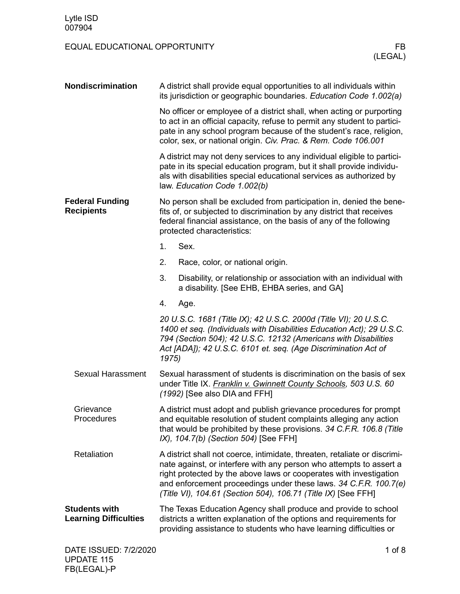| Nondiscrimination                                    | A district shall provide equal opportunities to all individuals within<br>its jurisdiction or geographic boundaries. Education Code 1.002(a)                                                                                                                                                                                                                |  |  |
|------------------------------------------------------|-------------------------------------------------------------------------------------------------------------------------------------------------------------------------------------------------------------------------------------------------------------------------------------------------------------------------------------------------------------|--|--|
|                                                      | No officer or employee of a district shall, when acting or purporting<br>to act in an official capacity, refuse to permit any student to partici-<br>pate in any school program because of the student's race, religion,<br>color, sex, or national origin. Civ. Prac. & Rem. Code 106.001                                                                  |  |  |
|                                                      | A district may not deny services to any individual eligible to partici-<br>pate in its special education program, but it shall provide individu-<br>als with disabilities special educational services as authorized by<br>law. Education Code 1.002(b)                                                                                                     |  |  |
| <b>Federal Funding</b><br><b>Recipients</b>          | No person shall be excluded from participation in, denied the bene-<br>fits of, or subjected to discrimination by any district that receives<br>federal financial assistance, on the basis of any of the following<br>protected characteristics:                                                                                                            |  |  |
|                                                      | 1.<br>Sex.                                                                                                                                                                                                                                                                                                                                                  |  |  |
|                                                      | 2.<br>Race, color, or national origin.                                                                                                                                                                                                                                                                                                                      |  |  |
|                                                      | 3.<br>Disability, or relationship or association with an individual with<br>a disability. [See EHB, EHBA series, and GA]                                                                                                                                                                                                                                    |  |  |
|                                                      | 4.<br>Age.                                                                                                                                                                                                                                                                                                                                                  |  |  |
|                                                      | 20 U.S.C. 1681 (Title IX); 42 U.S.C. 2000d (Title VI); 20 U.S.C.<br>1400 et seq. (Individuals with Disabilities Education Act); 29 U.S.C.<br>794 (Section 504); 42 U.S.C. 12132 (Americans with Disabilities<br>Act [ADA]); 42 U.S.C. 6101 et. seq. (Age Discrimination Act of<br>1975)                                                                     |  |  |
| <b>Sexual Harassment</b>                             | Sexual harassment of students is discrimination on the basis of sex<br>under Title IX. Franklin v. Gwinnett County Schools, 503 U.S. 60<br>(1992) [See also DIA and FFH]                                                                                                                                                                                    |  |  |
| Grievance<br>Procedures                              | A district must adopt and publish grievance procedures for prompt<br>and equitable resolution of student complaints alleging any action<br>that would be prohibited by these provisions. 34 C.F.R. 106.8 (Title<br>IX), 104.7(b) (Section 504) [See FFH]                                                                                                    |  |  |
| Retaliation                                          | A district shall not coerce, intimidate, threaten, retaliate or discrimi-<br>nate against, or interfere with any person who attempts to assert a<br>right protected by the above laws or cooperates with investigation<br>and enforcement proceedings under these laws. 34 C.F.R. 100.7(e)<br>(Title VI), 104.61 (Section 504), 106.71 (Title IX) [See FFH] |  |  |
| <b>Students with</b><br><b>Learning Difficulties</b> | The Texas Education Agency shall produce and provide to school<br>districts a written explanation of the options and requirements for<br>providing assistance to students who have learning difficulties or                                                                                                                                                 |  |  |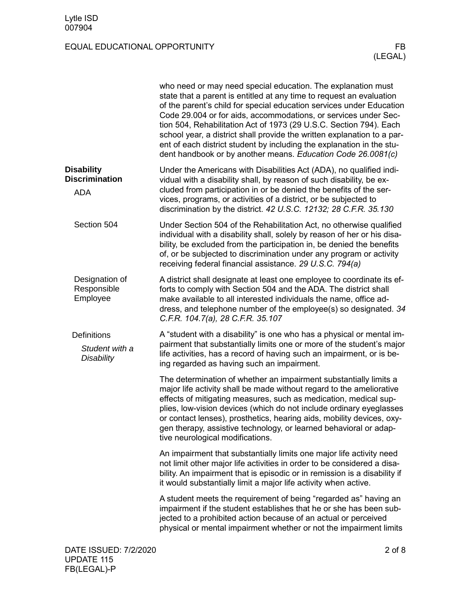|                                                          | who need or may need special education. The explanation must<br>state that a parent is entitled at any time to request an evaluation<br>of the parent's child for special education services under Education<br>Code 29.004 or for aids, accommodations, or services under Sec-<br>tion 504, Rehabilitation Act of 1973 (29 U.S.C. Section 794). Each<br>school year, a district shall provide the written explanation to a par-<br>ent of each district student by including the explanation in the stu-<br>dent handbook or by another means. Education Code 26.0081(c) |
|----------------------------------------------------------|---------------------------------------------------------------------------------------------------------------------------------------------------------------------------------------------------------------------------------------------------------------------------------------------------------------------------------------------------------------------------------------------------------------------------------------------------------------------------------------------------------------------------------------------------------------------------|
| <b>Disability</b><br><b>Discrimination</b><br><b>ADA</b> | Under the Americans with Disabilities Act (ADA), no qualified indi-<br>vidual with a disability shall, by reason of such disability, be ex-<br>cluded from participation in or be denied the benefits of the ser-<br>vices, programs, or activities of a district, or be subjected to<br>discrimination by the district. 42 U.S.C. 12132; 28 C.F.R. 35.130                                                                                                                                                                                                                |
| Section 504                                              | Under Section 504 of the Rehabilitation Act, no otherwise qualified<br>individual with a disability shall, solely by reason of her or his disa-<br>bility, be excluded from the participation in, be denied the benefits<br>of, or be subjected to discrimination under any program or activity<br>receiving federal financial assistance. 29 U.S.C. 794(a)                                                                                                                                                                                                               |
| Designation of<br>Responsible<br>Employee                | A district shall designate at least one employee to coordinate its ef-<br>forts to comply with Section 504 and the ADA. The district shall<br>make available to all interested individuals the name, office ad-<br>dress, and telephone number of the employee(s) so designated. 34<br>C.F.R. 104.7(a), 28 C.F.R. 35.107                                                                                                                                                                                                                                                  |
| <b>Definitions</b><br>Student with a<br>Disability       | A "student with a disability" is one who has a physical or mental im-<br>pairment that substantially limits one or more of the student's major<br>life activities, has a record of having such an impairment, or is be-<br>ing regarded as having such an impairment.                                                                                                                                                                                                                                                                                                     |
|                                                          | The determination of whether an impairment substantially limits a<br>major life activity shall be made without regard to the ameliorative<br>effects of mitigating measures, such as medication, medical sup-<br>plies, low-vision devices (which do not include ordinary eyeglasses<br>or contact lenses), prosthetics, hearing aids, mobility devices, oxy-<br>gen therapy, assistive technology, or learned behavioral or adap-<br>tive neurological modifications.                                                                                                    |
|                                                          | An impairment that substantially limits one major life activity need<br>not limit other major life activities in order to be considered a disa-<br>bility. An impairment that is episodic or in remission is a disability if<br>it would substantially limit a major life activity when active.                                                                                                                                                                                                                                                                           |
|                                                          | A student meets the requirement of being "regarded as" having an<br>impairment if the student establishes that he or she has been sub-<br>jected to a prohibited action because of an actual or perceived<br>physical or mental impairment whether or not the impairment limits                                                                                                                                                                                                                                                                                           |
| DATE ISSUED: 7/2/2020                                    | $2$ of $8$                                                                                                                                                                                                                                                                                                                                                                                                                                                                                                                                                                |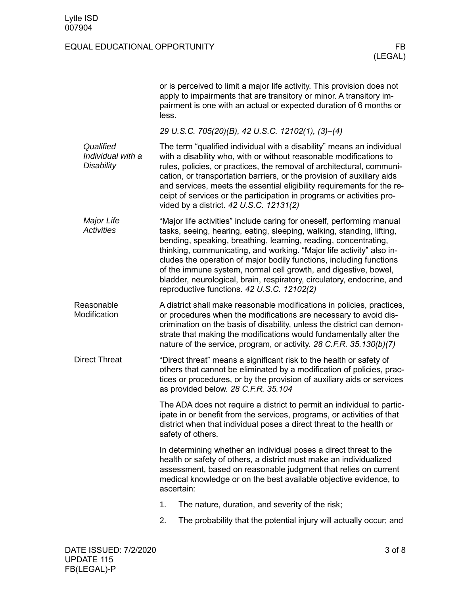|                                                     | or is perceived to limit a major life activity. This provision does not<br>apply to impairments that are transitory or minor. A transitory im-<br>pairment is one with an actual or expected duration of 6 months or<br>less.                                                                                                                                                                                                                                                                                                                               |
|-----------------------------------------------------|-------------------------------------------------------------------------------------------------------------------------------------------------------------------------------------------------------------------------------------------------------------------------------------------------------------------------------------------------------------------------------------------------------------------------------------------------------------------------------------------------------------------------------------------------------------|
|                                                     | 29 U.S.C. 705(20)(B), 42 U.S.C. 12102(1), (3)-(4)                                                                                                                                                                                                                                                                                                                                                                                                                                                                                                           |
| Qualified<br>Individual with a<br><b>Disability</b> | The term "qualified individual with a disability" means an individual<br>with a disability who, with or without reasonable modifications to<br>rules, policies, or practices, the removal of architectural, communi-<br>cation, or transportation barriers, or the provision of auxiliary aids<br>and services, meets the essential eligibility requirements for the re-<br>ceipt of services or the participation in programs or activities pro-<br>vided by a district. 42 U.S.C. 12131(2)                                                                |
| Major Life<br><b>Activities</b>                     | "Major life activities" include caring for oneself, performing manual<br>tasks, seeing, hearing, eating, sleeping, walking, standing, lifting,<br>bending, speaking, breathing, learning, reading, concentrating,<br>thinking, communicating, and working. "Major life activity" also in-<br>cludes the operation of major bodily functions, including functions<br>of the immune system, normal cell growth, and digestive, bowel,<br>bladder, neurological, brain, respiratory, circulatory, endocrine, and<br>reproductive functions. 42 U.S.C. 12102(2) |
| Reasonable<br>Modification                          | A district shall make reasonable modifications in policies, practices,<br>or procedures when the modifications are necessary to avoid dis-<br>crimination on the basis of disability, unless the district can demon-<br>strate that making the modifications would fundamentally alter the<br>nature of the service, program, or activity. 28 C.F.R. 35.130(b)(7)                                                                                                                                                                                           |
| <b>Direct Threat</b>                                | "Direct threat" means a significant risk to the health or safety of<br>others that cannot be eliminated by a modification of policies, prac-<br>tices or procedures, or by the provision of auxiliary aids or services<br>as provided below. 28 C.F.R. 35.104                                                                                                                                                                                                                                                                                               |
|                                                     | The ADA does not require a district to permit an individual to partic-<br>ipate in or benefit from the services, programs, or activities of that<br>district when that individual poses a direct threat to the health or<br>safety of others.                                                                                                                                                                                                                                                                                                               |
|                                                     | In determining whether an individual poses a direct threat to the<br>health or safety of others, a district must make an individualized<br>assessment, based on reasonable judgment that relies on current<br>medical knowledge or on the best available objective evidence, to<br>ascertain:                                                                                                                                                                                                                                                               |
|                                                     | The nature, duration, and severity of the risk;<br>1.                                                                                                                                                                                                                                                                                                                                                                                                                                                                                                       |
|                                                     | 2.<br>The probability that the potential injury will actually occur; and                                                                                                                                                                                                                                                                                                                                                                                                                                                                                    |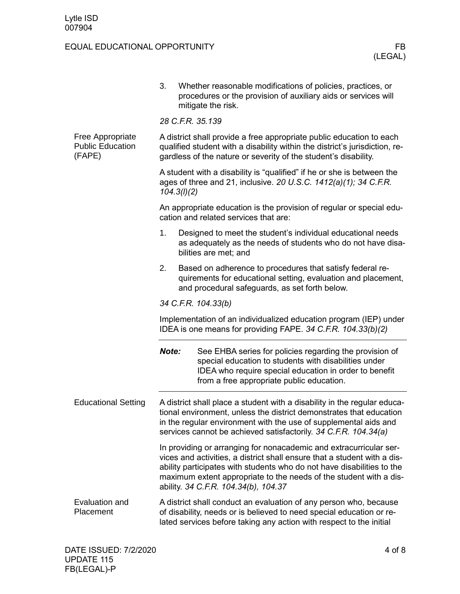|                                                       | 3.          | Whether reasonable modifications of policies, practices, or<br>procedures or the provision of auxiliary aids or services will<br>mitigate the risk.                                                                                                                                                                                    |
|-------------------------------------------------------|-------------|----------------------------------------------------------------------------------------------------------------------------------------------------------------------------------------------------------------------------------------------------------------------------------------------------------------------------------------|
|                                                       |             | 28 C.F.R. 35.139                                                                                                                                                                                                                                                                                                                       |
| Free Appropriate<br><b>Public Education</b><br>(FAPE) |             | A district shall provide a free appropriate public education to each<br>qualified student with a disability within the district's jurisdiction, re-<br>gardless of the nature or severity of the student's disability.                                                                                                                 |
|                                                       | 104.3(l)(2) | A student with a disability is "qualified" if he or she is between the<br>ages of three and 21, inclusive. 20 U.S.C. 1412(a)(1); 34 C.F.R.                                                                                                                                                                                             |
|                                                       |             | An appropriate education is the provision of regular or special edu-<br>cation and related services that are:                                                                                                                                                                                                                          |
|                                                       | 1.          | Designed to meet the student's individual educational needs<br>as adequately as the needs of students who do not have disa-<br>bilities are met; and                                                                                                                                                                                   |
|                                                       | 2.          | Based on adherence to procedures that satisfy federal re-<br>quirements for educational setting, evaluation and placement,<br>and procedural safeguards, as set forth below.                                                                                                                                                           |
|                                                       |             | 34 C.F.R. 104.33(b)                                                                                                                                                                                                                                                                                                                    |
|                                                       |             | Implementation of an individualized education program (IEP) under<br>IDEA is one means for providing FAPE. 34 C.F.R. 104.33(b)(2)                                                                                                                                                                                                      |
|                                                       | Note:       | See EHBA series for policies regarding the provision of<br>special education to students with disabilities under<br>IDEA who require special education in order to benefit<br>from a free appropriate public education.                                                                                                                |
| <b>Educational Setting</b>                            |             | A district shall place a student with a disability in the regular educa-<br>tional environment, unless the district demonstrates that education<br>in the regular environment with the use of supplemental aids and<br>services cannot be achieved satisfactorily. 34 C.F.R. 104.34(a)                                                 |
|                                                       |             | In providing or arranging for nonacademic and extracurricular ser-<br>vices and activities, a district shall ensure that a student with a dis-<br>ability participates with students who do not have disabilities to the<br>maximum extent appropriate to the needs of the student with a dis-<br>ability. 34 C.F.R. 104.34(b), 104.37 |
| Evaluation and<br>Placement                           |             | A district shall conduct an evaluation of any person who, because<br>of disability, needs or is believed to need special education or re-<br>lated services before taking any action with respect to the initial                                                                                                                       |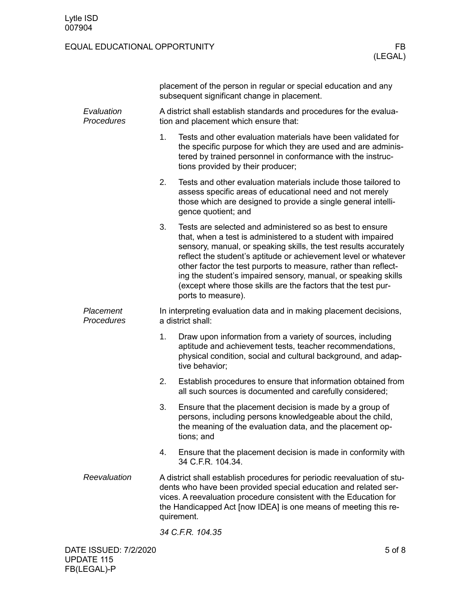|                          |                                                                                                              | placement of the person in regular or special education and any<br>subsequent significant change in placement.                                                                                                                                                                                                                                                                                                                                                                              |  |  |
|--------------------------|--------------------------------------------------------------------------------------------------------------|---------------------------------------------------------------------------------------------------------------------------------------------------------------------------------------------------------------------------------------------------------------------------------------------------------------------------------------------------------------------------------------------------------------------------------------------------------------------------------------------|--|--|
| Evaluation<br>Procedures | A district shall establish standards and procedures for the evalua-<br>tion and placement which ensure that: |                                                                                                                                                                                                                                                                                                                                                                                                                                                                                             |  |  |
|                          | 1 <sub>1</sub>                                                                                               | Tests and other evaluation materials have been validated for<br>the specific purpose for which they are used and are adminis-<br>tered by trained personnel in conformance with the instruc-<br>tions provided by their producer;                                                                                                                                                                                                                                                           |  |  |
|                          | 2.                                                                                                           | Tests and other evaluation materials include those tailored to<br>assess specific areas of educational need and not merely<br>those which are designed to provide a single general intelli-<br>gence quotient; and                                                                                                                                                                                                                                                                          |  |  |
|                          | 3.                                                                                                           | Tests are selected and administered so as best to ensure<br>that, when a test is administered to a student with impaired<br>sensory, manual, or speaking skills, the test results accurately<br>reflect the student's aptitude or achievement level or whatever<br>other factor the test purports to measure, rather than reflect-<br>ing the student's impaired sensory, manual, or speaking skills<br>(except where those skills are the factors that the test pur-<br>ports to measure). |  |  |
| Placement<br>Procedures  |                                                                                                              | In interpreting evaluation data and in making placement decisions,<br>a district shall:                                                                                                                                                                                                                                                                                                                                                                                                     |  |  |
|                          | 1.                                                                                                           | Draw upon information from a variety of sources, including<br>aptitude and achievement tests, teacher recommendations,<br>physical condition, social and cultural background, and adap-<br>tive behavior;                                                                                                                                                                                                                                                                                   |  |  |
|                          | 2.                                                                                                           | Establish procedures to ensure that information obtained from<br>all such sources is documented and carefully considered;                                                                                                                                                                                                                                                                                                                                                                   |  |  |
|                          | 3.                                                                                                           | Ensure that the placement decision is made by a group of<br>persons, including persons knowledgeable about the child<br>the meaning of the evaluation data, and the placement op-<br>tions; and                                                                                                                                                                                                                                                                                             |  |  |
|                          | 4.                                                                                                           | Ensure that the placement decision is made in conformity with<br>34 C.F.R. 104.34.                                                                                                                                                                                                                                                                                                                                                                                                          |  |  |
| Reevaluation             |                                                                                                              | A district shall establish procedures for periodic reevaluation of stu-<br>dents who have been provided special education and related ser-<br>vices. A reevaluation procedure consistent with the Education for<br>the Handicapped Act [now IDEA] is one means of meeting this re-<br>quirement.                                                                                                                                                                                            |  |  |
|                          |                                                                                                              | 34 C.F.R. 104.35                                                                                                                                                                                                                                                                                                                                                                                                                                                                            |  |  |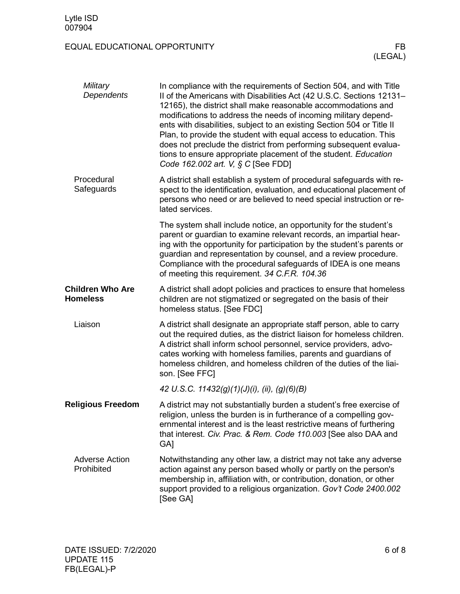| Military<br>Dependents                     | In compliance with the requirements of Section 504, and with Title<br>II of the Americans with Disabilities Act (42 U.S.C. Sections 12131-<br>12165), the district shall make reasonable accommodations and<br>modifications to address the needs of incoming military depend-<br>ents with disabilities, subject to an existing Section 504 or Title II<br>Plan, to provide the student with equal access to education. This<br>does not preclude the district from performing subsequent evalua-<br>tions to ensure appropriate placement of the student. Education<br>Code 162.002 art. V, § C [See FDD] |
|--------------------------------------------|-------------------------------------------------------------------------------------------------------------------------------------------------------------------------------------------------------------------------------------------------------------------------------------------------------------------------------------------------------------------------------------------------------------------------------------------------------------------------------------------------------------------------------------------------------------------------------------------------------------|
| Procedural<br>Safeguards                   | A district shall establish a system of procedural safeguards with re-<br>spect to the identification, evaluation, and educational placement of<br>persons who need or are believed to need special instruction or re-<br>lated services.                                                                                                                                                                                                                                                                                                                                                                    |
|                                            | The system shall include notice, an opportunity for the student's<br>parent or guardian to examine relevant records, an impartial hear-<br>ing with the opportunity for participation by the student's parents or<br>guardian and representation by counsel, and a review procedure.<br>Compliance with the procedural safeguards of IDEA is one means<br>of meeting this requirement. 34 C.F.R. 104.36                                                                                                                                                                                                     |
| <b>Children Who Are</b><br><b>Homeless</b> | A district shall adopt policies and practices to ensure that homeless<br>children are not stigmatized or segregated on the basis of their<br>homeless status. [See FDC]                                                                                                                                                                                                                                                                                                                                                                                                                                     |
| Liaison                                    | A district shall designate an appropriate staff person, able to carry<br>out the required duties, as the district liaison for homeless children.<br>A district shall inform school personnel, service providers, advo-<br>cates working with homeless families, parents and guardians of<br>homeless children, and homeless children of the duties of the liai-<br>son. [See FFC]                                                                                                                                                                                                                           |
|                                            | 42 U.S.C. 11432(g)(1)(J)(i), (ii), (g)(6)(B)                                                                                                                                                                                                                                                                                                                                                                                                                                                                                                                                                                |
| <b>Religious Freedom</b>                   | A district may not substantially burden a student's free exercise of<br>religion, unless the burden is in furtherance of a compelling gov-<br>ernmental interest and is the least restrictive means of furthering<br>that interest. Civ. Prac. & Rem. Code 110.003 [See also DAA and<br>GA <sub>l</sub>                                                                                                                                                                                                                                                                                                     |
| <b>Adverse Action</b><br>Prohibited        | Notwithstanding any other law, a district may not take any adverse<br>action against any person based wholly or partly on the person's<br>membership in, affiliation with, or contribution, donation, or other<br>support provided to a religious organization. Gov't Code 2400.002<br>[See GA]                                                                                                                                                                                                                                                                                                             |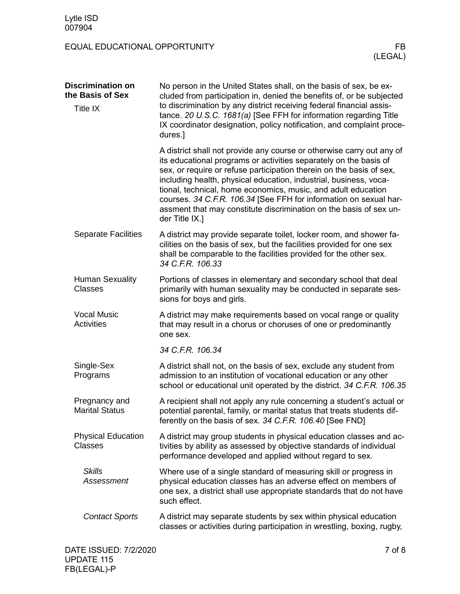| <b>Discrimination on</b><br>the Basis of Sex | No person in the United States shall, on the basis of sex, be ex-<br>cluded from participation in, denied the benefits of, or be subjected<br>to discrimination by any district receiving federal financial assis-<br>tance. 20 U.S.C. 1681(a) [See FFH for information regarding Title<br>IX coordinator designation, policy notification, and complaint proce-<br>dures.]                                                                                                                                           |  |
|----------------------------------------------|-----------------------------------------------------------------------------------------------------------------------------------------------------------------------------------------------------------------------------------------------------------------------------------------------------------------------------------------------------------------------------------------------------------------------------------------------------------------------------------------------------------------------|--|
| <b>Title IX</b>                              |                                                                                                                                                                                                                                                                                                                                                                                                                                                                                                                       |  |
|                                              | A district shall not provide any course or otherwise carry out any of<br>its educational programs or activities separately on the basis of<br>sex, or require or refuse participation therein on the basis of sex,<br>including health, physical education, industrial, business, voca-<br>tional, technical, home economics, music, and adult education<br>courses. 34 C.F.R. 106.34 [See FFH for information on sexual har-<br>assment that may constitute discrimination on the basis of sex un-<br>der Title IX.] |  |
| <b>Separate Facilities</b>                   | A district may provide separate toilet, locker room, and shower fa-<br>cilities on the basis of sex, but the facilities provided for one sex<br>shall be comparable to the facilities provided for the other sex.<br>34 C.F.R. 106.33                                                                                                                                                                                                                                                                                 |  |
| <b>Human Sexuality</b><br><b>Classes</b>     | Portions of classes in elementary and secondary school that deal<br>primarily with human sexuality may be conducted in separate ses-<br>sions for boys and girls.                                                                                                                                                                                                                                                                                                                                                     |  |
| <b>Vocal Music</b><br><b>Activities</b>      | A district may make requirements based on vocal range or quality<br>that may result in a chorus or choruses of one or predominantly<br>one sex.                                                                                                                                                                                                                                                                                                                                                                       |  |
|                                              | 34 C.F.R. 106.34                                                                                                                                                                                                                                                                                                                                                                                                                                                                                                      |  |
| Single-Sex<br>Programs                       | A district shall not, on the basis of sex, exclude any student from<br>admission to an institution of vocational education or any other<br>school or educational unit operated by the district. 34 C.F.R. 106.35                                                                                                                                                                                                                                                                                                      |  |
| Pregnancy and<br><b>Marital Status</b>       | A recipient shall not apply any rule concerning a student's actual or<br>potential parental, family, or marital status that treats students dif-<br>ferently on the basis of sex. 34 C.F.R. 106.40 [See FND]                                                                                                                                                                                                                                                                                                          |  |
| <b>Physical Education</b><br><b>Classes</b>  | A district may group students in physical education classes and ac-<br>tivities by ability as assessed by objective standards of individual<br>performance developed and applied without regard to sex.                                                                                                                                                                                                                                                                                                               |  |
| <b>Skills</b><br>Assessment                  | Where use of a single standard of measuring skill or progress in<br>physical education classes has an adverse effect on members of<br>one sex, a district shall use appropriate standards that do not have<br>such effect.                                                                                                                                                                                                                                                                                            |  |
| <b>Contact Sports</b>                        | A district may separate students by sex within physical education<br>classes or activities during participation in wrestling, boxing, rugby,                                                                                                                                                                                                                                                                                                                                                                          |  |